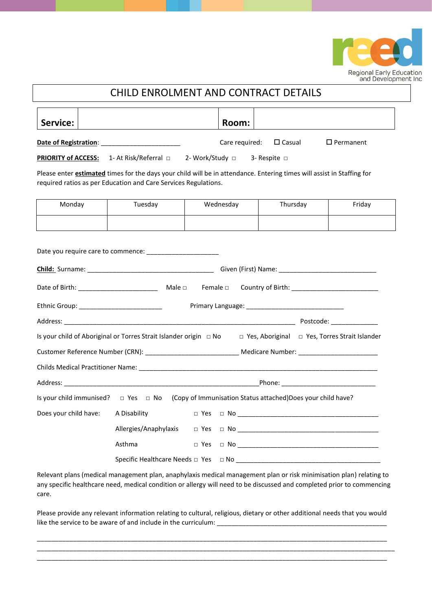

## Service: **Room: Room: Room: Date of Registration**: <br>
Care required: □ Casual □ Permanent **PRIORITY of ACCESS:** 1- At Risk/Referral □ 2- Work/Study □ 3- Respite □ Please enter **estimated** times for the days your child will be in attendance. Entering times will assist in Staffing for required ratios as per Education and Care Services Regulations. Date you require care to commence: \_\_\_\_\_\_\_\_\_\_\_\_\_\_\_\_\_\_\_\_ **Child:** Surname: \_\_\_\_\_\_\_\_\_\_\_\_\_\_\_\_\_\_\_\_\_\_\_\_\_\_\_\_\_\_\_\_\_\_\_ Given (First) Name: \_\_\_\_\_\_\_\_\_\_\_\_\_\_\_\_\_\_\_\_\_\_\_\_\_\_\_ Date of Birth: \_\_\_\_\_\_\_\_\_\_\_\_\_\_\_\_\_\_\_\_\_\_ Male □ Female □ Country of Birth: \_\_\_\_\_\_\_\_\_\_\_\_\_\_\_\_\_\_\_\_\_\_\_\_ Ethnic Group: \_\_\_\_\_\_\_\_\_\_\_\_\_\_\_\_\_\_\_\_\_\_\_ Primary Language: \_\_\_\_\_\_\_\_\_\_\_\_\_\_\_\_\_\_\_\_\_\_\_\_\_\_\_ Address: \_\_\_\_\_\_\_\_\_\_\_\_\_\_\_\_\_\_\_\_\_\_\_\_\_\_\_\_\_\_\_\_\_\_\_\_\_\_\_\_\_\_\_\_\_\_\_\_\_\_\_\_\_\_\_\_\_\_\_\_\_\_\_\_ Postcode: \_\_\_\_\_\_\_\_\_\_\_\_\_ Is your child of Aboriginal or Torres Strait Islander origin □ No □ Yes, Aboriginal □ Yes, Torres Strait Islander Customer Reference Number (CRN): \_\_\_\_\_\_\_\_\_\_\_\_\_\_\_\_\_\_\_\_\_\_\_\_\_\_ Medicare Number: \_\_\_\_\_\_\_\_\_\_\_\_\_\_\_\_\_\_\_\_\_\_ Childs Medical Practitioner Name: \_\_\_\_\_\_\_\_\_\_\_\_\_\_\_\_\_\_\_\_\_\_\_\_\_\_\_\_\_\_\_\_\_\_\_\_\_\_\_\_\_\_\_\_\_\_\_\_\_\_\_\_\_\_\_\_\_\_\_\_\_\_\_\_\_\_ Address: \_\_\_\_\_\_\_\_\_\_\_\_\_\_\_\_\_\_\_\_\_\_\_\_\_\_\_\_\_\_\_\_\_\_\_\_\_\_\_\_\_\_\_\_\_\_\_\_\_\_\_\_\_\_Phone: \_\_\_\_\_\_\_\_\_\_\_\_\_\_\_\_\_\_\_\_\_\_\_\_\_\_ Is your child immunised? □ Yes □ No (Copy of Immunisation Status attached)Does your child have? Does your child have:  $\blacksquare$  A Disability  $\blacksquare$  Yes  $\blacksquare$  No Allergies/Anaphylaxis □ Yes □ No  $\Box$ Asthma □ Yes □ No \_\_\_\_\_\_\_\_\_\_\_\_\_\_\_\_\_\_\_\_\_\_\_\_\_\_\_\_\_\_\_\_\_\_\_\_\_\_\_ Monday Tuesday Wednesday Thursday Friday

CHILD ENROLMENT AND CONTRACT DETAILS

Specific Healthcare Needs □ Yes □ No \_\_\_\_\_\_\_\_\_\_\_\_\_\_\_\_\_\_\_\_\_\_\_\_\_\_\_\_\_\_\_\_\_\_\_\_\_\_\_\_

Relevant plans (medical management plan, anaphylaxis medical management plan or risk minimisation plan) relating to any specific healthcare need, medical condition or allergy will need to be discussed and completed prior to commencing care.

Please provide any relevant information relating to cultural, religious, dietary or other additional needs that you would like the service to be aware of and include in the curriculum:

\_\_\_\_\_\_\_\_\_\_\_\_\_\_\_\_\_\_\_\_\_\_\_\_\_\_\_\_\_\_\_\_\_\_\_\_\_\_\_\_\_\_\_\_\_\_\_\_\_\_\_\_\_\_\_\_\_\_\_\_\_\_\_\_\_\_\_\_\_\_\_\_\_\_\_\_\_\_\_\_\_\_\_\_\_\_\_\_\_\_\_\_\_\_\_\_\_ \_\_\_\_\_\_\_\_\_\_\_\_\_\_\_\_\_\_\_\_\_\_\_\_\_\_\_\_\_\_\_\_\_\_\_\_\_\_\_\_\_\_\_\_\_\_\_\_\_\_\_\_\_\_\_\_\_\_\_\_\_\_\_\_\_\_\_\_\_\_\_\_\_\_\_\_\_\_\_\_\_\_\_\_\_\_\_\_\_\_\_\_\_\_\_\_\_\_\_ \_\_\_\_\_\_\_\_\_\_\_\_\_\_\_\_\_\_\_\_\_\_\_\_\_\_\_\_\_\_\_\_\_\_\_\_\_\_\_\_\_\_\_\_\_\_\_\_\_\_\_\_\_\_\_\_\_\_\_\_\_\_\_\_\_\_\_\_\_\_\_\_\_\_\_\_\_\_\_\_\_\_\_\_\_\_\_\_\_\_\_\_\_\_\_\_\_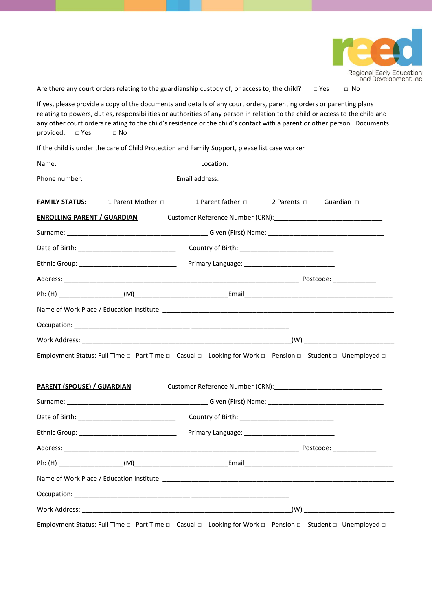

Are there any court orders relating to the guardianship custody of, or access to, the child?  $□$  Yes  $□$  No

If yes, please provide a copy of the documents and details of any court orders, parenting orders or parenting plans relating to powers, duties, responsibilities or authorities of any person in relation to the child or access to the child and any other court orders relating to the child's residence or the child's contact with a parent or other person. Documents provided: □ Yes □ No

If the child is under the care of Child Protection and Family Support, please list case worker

| <b>FAMILY STATUS:</b>              | 1 Parent Mother □                                | 1 Parent father $\Box$ 2 Parents $\Box$ Guardian $\Box$                                                 |
|------------------------------------|--------------------------------------------------|---------------------------------------------------------------------------------------------------------|
| <b>ENROLLING PARENT / GUARDIAN</b> |                                                  |                                                                                                         |
|                                    |                                                  |                                                                                                         |
|                                    |                                                  |                                                                                                         |
|                                    | Ethnic Group: __________________________________ |                                                                                                         |
|                                    |                                                  |                                                                                                         |
|                                    |                                                  |                                                                                                         |
|                                    |                                                  |                                                                                                         |
|                                    |                                                  |                                                                                                         |
|                                    |                                                  |                                                                                                         |
|                                    |                                                  | Employment Status: Full Time □ Part Time □ Casual □ Looking for Work □ Pension □ Student □ Unemployed □ |
| <b>PARENT (SPOUSE) / GUARDIAN</b>  |                                                  | Customer Reference Number (CRN): Customer Reference Number (CRN):                                       |
|                                    |                                                  |                                                                                                         |
|                                    |                                                  |                                                                                                         |
|                                    |                                                  |                                                                                                         |
|                                    |                                                  |                                                                                                         |
|                                    |                                                  |                                                                                                         |
|                                    |                                                  |                                                                                                         |
|                                    |                                                  |                                                                                                         |
|                                    |                                                  |                                                                                                         |
|                                    |                                                  | Employment Status: Full Time a Part Time a Casual a Looking for Work a Pension a Student a Unemployed a |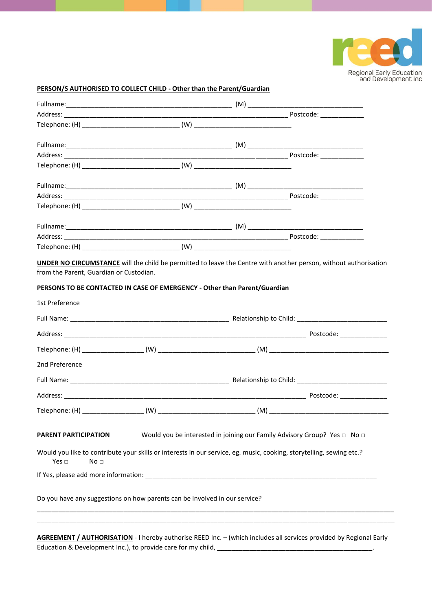

## **PERSON/S AUTHORISED TO COLLECT CHILD - Other than the Parent/Guardian**

| 1st Preference                                               |                                                                            |                                                                                                                                                                                                  |
|--------------------------------------------------------------|----------------------------------------------------------------------------|--------------------------------------------------------------------------------------------------------------------------------------------------------------------------------------------------|
|                                                              |                                                                            |                                                                                                                                                                                                  |
|                                                              |                                                                            |                                                                                                                                                                                                  |
|                                                              |                                                                            |                                                                                                                                                                                                  |
| 2nd Preference                                               |                                                                            |                                                                                                                                                                                                  |
|                                                              |                                                                            |                                                                                                                                                                                                  |
|                                                              |                                                                            |                                                                                                                                                                                                  |
|                                                              |                                                                            |                                                                                                                                                                                                  |
| <b>PARENT PARTICIPATION</b><br>Yes $\Box$<br>No <sub>1</sub> |                                                                            | Would you be interested in joining our Family Advisory Group? Yes □ No □<br>Would you like to contribute your skills or interests in our service, eg. music, cooking, storytelling, sewing etc.? |
|                                                              |                                                                            |                                                                                                                                                                                                  |
|                                                              |                                                                            |                                                                                                                                                                                                  |
|                                                              | Do you have any suggestions on how parents can be involved in our service? |                                                                                                                                                                                                  |

**AGREEMENT / AUTHORISATION** - I hereby authorise REED Inc. – (which includes all services provided by Regional Early Education & Development Inc.), to provide care for my child, \_\_\_\_\_\_\_\_\_\_\_\_\_\_\_\_\_\_\_\_\_\_\_\_\_\_\_\_\_\_\_\_\_\_\_\_\_\_\_\_\_\_\_.